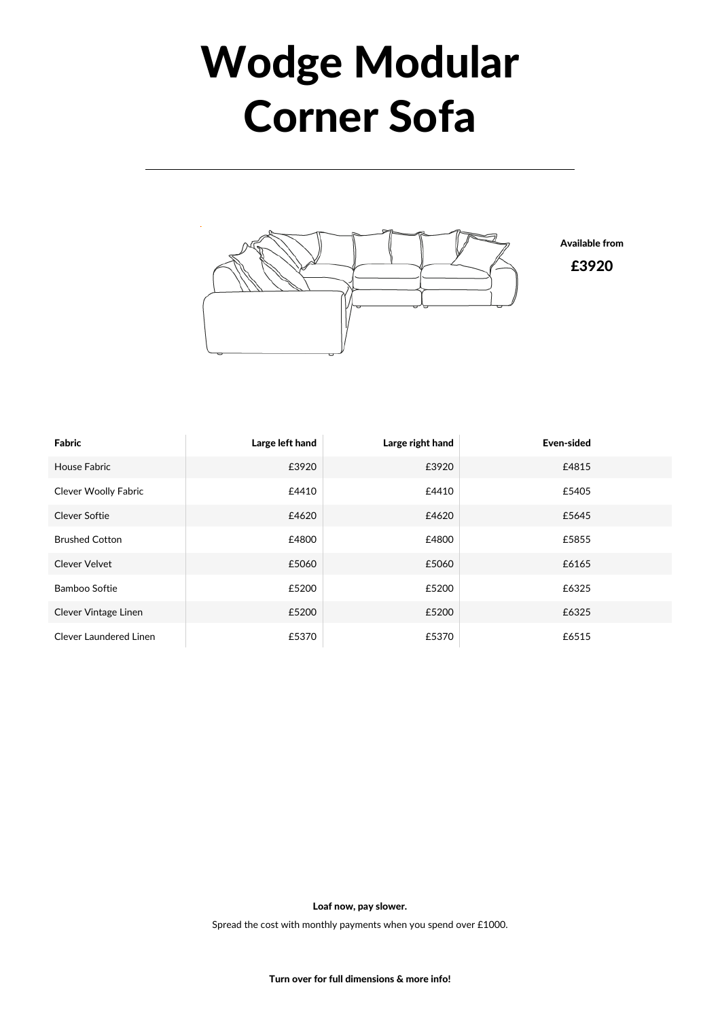## Wodge Modular Corner Sofa



| Fabric                        | Large left hand | Large right hand | Even-sided |
|-------------------------------|-----------------|------------------|------------|
| <b>House Fabric</b>           | £3920           | £3920            | £4815      |
| <b>Clever Woolly Fabric</b>   | £4410           | £4410            | £5405      |
| <b>Clever Softie</b>          | £4620           | £4620            | £5645      |
| <b>Brushed Cotton</b>         | £4800           | £4800            | £5855      |
| Clever Velvet                 | £5060           | £5060            | £6165      |
| Bamboo Softie                 | £5200           | £5200            | £6325      |
| Clever Vintage Linen          | £5200           | £5200            | £6325      |
| <b>Clever Laundered Linen</b> | £5370           | £5370            | £6515      |

Loaf now, pay slower.

Spread the cost with monthly payments when you spend over £1000.